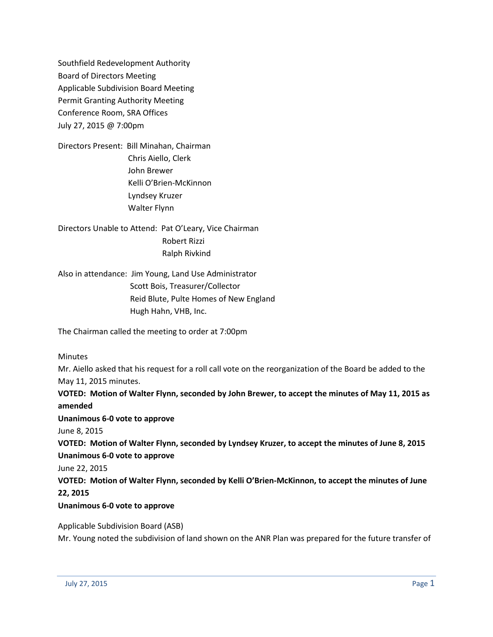Southfield Redevelopment Authority Board of Directors Meeting Applicable Subdivision Board Meeting Permit Granting Authority Meeting Conference Room, SRA Offices July 27, 2015 @ 7:00pm

Directors Present: Bill Minahan, Chairman Chris Aiello, Clerk John Brewer Kelli O'Brien-McKinnon Lyndsey Kruzer Walter Flynn

Directors Unable to Attend: Pat O'Leary, Vice Chairman Robert Rizzi Ralph Rivkind

Also in attendance: Jim Young, Land Use Administrator Scott Bois, Treasurer/Collector Reid Blute, Pulte Homes of New England Hugh Hahn, VHB, Inc.

The Chairman called the meeting to order at 7:00pm

Minutes

Mr. Aiello asked that his request for a roll call vote on the reorganization of the Board be added to the May 11, 2015 minutes.

**VOTED: Motion of Walter Flynn, seconded by John Brewer, to accept the minutes of May 11, 2015 as amended Unanimous 6-0 vote to approve** June 8, 2015 **VOTED: Motion of Walter Flynn, seconded by Lyndsey Kruzer, to accept the minutes of June 8, 2015 Unanimous 6-0 vote to approve** June 22, 2015 **VOTED: Motion of Walter Flynn, seconded by Kelli O'Brien-McKinnon, to accept the minutes of June 22, 2015**

#### **Unanimous 6-0 vote to approve**

Applicable Subdivision Board (ASB) Mr. Young noted the subdivision of land shown on the ANR Plan was prepared for the future transfer of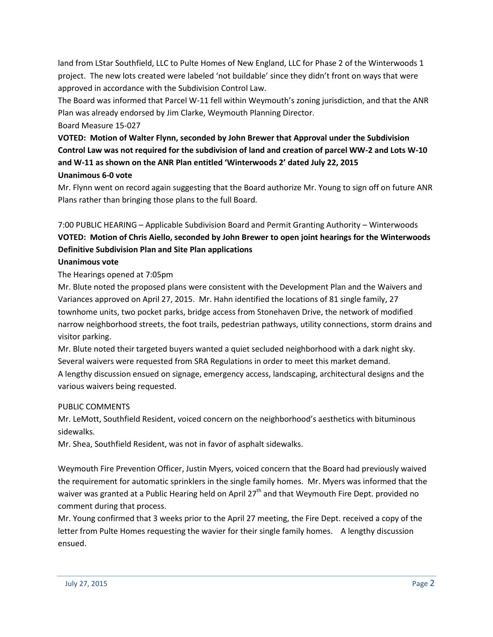land from LStar Southfield, LLC to Pulte Homes of New England, LLC for Phase 2 of the Winterwoods 1 project. The new lots created were labeled 'not buildable' since they didn't front on ways that were approved in accordance with the Subdivision Control Law.

The Board was informed that Parcel W-11 fell within Weymouth's zoning jurisdiction, and that the ANR Plan was already endorsed by Jim Clarke, Weymouth Planning Director.

Board Measure 15-027

**VOTED: Motion of Walter Flynn, seconded by John Brewer that Approval under the Subdivision Control Law was not required for the subdivision of land and creation of parcel WW-2 and Lots W-10 and W-11 as shown on the ANR Plan entitled 'Winterwoods 2' dated July 22, 2015 Unanimous 6-0 vote**

Mr. Flynn went on record again suggesting that the Board authorize Mr. Young to sign off on future ANR Plans rather than bringing those plans to the full Board.

# 7:00 PUBLIC HEARING – Applicable Subdivision Board and Permit Granting Authority – Winterwoods **VOTED: Motion of Chris Aiello, seconded by John Brewer to open joint hearings for the Winterwoods Definitive Subdivision Plan and Site Plan applications**

## **Unanimous vote**

The Hearings opened at 7:05pm

Mr. Blute noted the proposed plans were consistent with the Development Plan and the Waivers and Variances approved on April 27, 2015. Mr. Hahn identified the locations of 81 single family, 27 townhome units, two pocket parks, bridge access from Stonehaven Drive, the network of modified narrow neighborhood streets, the foot trails, pedestrian pathways, utility connections, storm drains and visitor parking.

Mr. Blute noted their targeted buyers wanted a quiet secluded neighborhood with a dark night sky. Several waivers were requested from SRA Regulations in order to meet this market demand. A lengthy discussion ensued on signage, emergency access, landscaping, architectural designs and the various waivers being requested.

#### PUBLIC COMMENTS

Mr. LeMott, Southfield Resident, voiced concern on the neighborhood's aesthetics with bituminous sidewalks.

Mr. Shea, Southfield Resident, was not in favor of asphalt sidewalks.

Weymouth Fire Prevention Officer, Justin Myers, voiced concern that the Board had previously waived the requirement for automatic sprinklers in the single family homes. Mr. Myers was informed that the waiver was granted at a Public Hearing held on April 27<sup>th</sup> and that Weymouth Fire Dept. provided no comment during that process.

Mr. Young confirmed that 3 weeks prior to the April 27 meeting, the Fire Dept. received a copy of the letter from Pulte Homes requesting the wavier for their single family homes. A lengthy discussion ensued.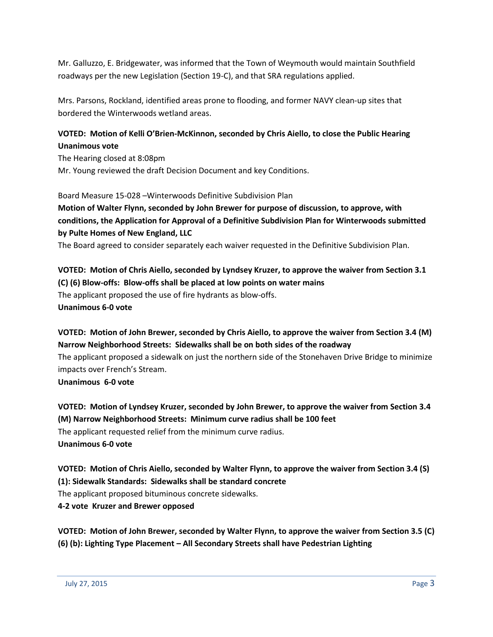Mr. Galluzzo, E. Bridgewater, was informed that the Town of Weymouth would maintain Southfield roadways per the new Legislation (Section 19-C), and that SRA regulations applied.

Mrs. Parsons, Rockland, identified areas prone to flooding, and former NAVY clean-up sites that bordered the Winterwoods wetland areas.

### **VOTED: Motion of Kelli O'Brien-McKinnon, seconded by Chris Aiello, to close the Public Hearing Unanimous vote**

The Hearing closed at 8:08pm Mr. Young reviewed the draft Decision Document and key Conditions.

Board Measure 15-028 –Winterwoods Definitive Subdivision Plan

## **Motion of Walter Flynn, seconded by John Brewer for purpose of discussion, to approve, with conditions, the Application for Approval of a Definitive Subdivision Plan for Winterwoods submitted by Pulte Homes of New England, LLC**

The Board agreed to consider separately each waiver requested in the Definitive Subdivision Plan.

### **VOTED: Motion of Chris Aiello, seconded by Lyndsey Kruzer, to approve the waiver from Section 3.1 (C) (6) Blow-offs: Blow-offs shall be placed at low points on water mains** The applicant proposed the use of fire hydrants as blow-offs. **Unanimous 6-0 vote**

## **VOTED: Motion of John Brewer, seconded by Chris Aiello, to approve the waiver from Section 3.4 (M) Narrow Neighborhood Streets: Sidewalks shall be on both sides of the roadway**

The applicant proposed a sidewalk on just the northern side of the Stonehaven Drive Bridge to minimize impacts over French's Stream.

**Unanimous 6-0 vote**

**VOTED: Motion of Lyndsey Kruzer, seconded by John Brewer, to approve the waiver from Section 3.4 (M) Narrow Neighborhood Streets: Minimum curve radius shall be 100 feet** The applicant requested relief from the minimum curve radius. **Unanimous 6-0 vote**

**VOTED: Motion of Chris Aiello, seconded by Walter Flynn, to approve the waiver from Section 3.4 (S) (1): Sidewalk Standards: Sidewalks shall be standard concrete**

The applicant proposed bituminous concrete sidewalks.

**4-2 vote Kruzer and Brewer opposed**

**VOTED: Motion of John Brewer, seconded by Walter Flynn, to approve the waiver from Section 3.5 (C) (6) (b): Lighting Type Placement – All Secondary Streets shall have Pedestrian Lighting**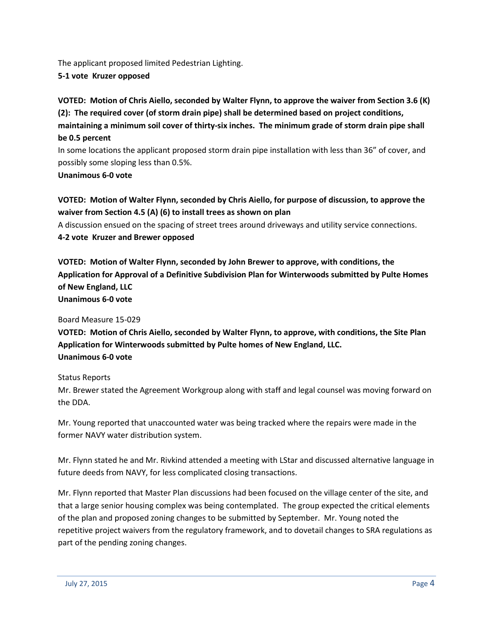The applicant proposed limited Pedestrian Lighting.

**5-1 vote Kruzer opposed**

**VOTED: Motion of Chris Aiello, seconded by Walter Flynn, to approve the waiver from Section 3.6 (K) (2): The required cover (of storm drain pipe) shall be determined based on project conditions, maintaining a minimum soil cover of thirty-six inches. The minimum grade of storm drain pipe shall be 0.5 percent**

In some locations the applicant proposed storm drain pipe installation with less than 36" of cover, and possibly some sloping less than 0.5%.

#### **Unanimous 6-0 vote**

**VOTED: Motion of Walter Flynn, seconded by Chris Aiello, for purpose of discussion, to approve the waiver from Section 4.5 (A) (6) to install trees as shown on plan**

A discussion ensued on the spacing of street trees around driveways and utility service connections. **4-2 vote Kruzer and Brewer opposed**

**VOTED: Motion of Walter Flynn, seconded by John Brewer to approve, with conditions, the Application for Approval of a Definitive Subdivision Plan for Winterwoods submitted by Pulte Homes of New England, LLC Unanimous 6-0 vote**

Board Measure 15-029

**VOTED: Motion of Chris Aiello, seconded by Walter Flynn, to approve, with conditions, the Site Plan Application for Winterwoods submitted by Pulte homes of New England, LLC. Unanimous 6-0 vote**

Status Reports

Mr. Brewer stated the Agreement Workgroup along with staff and legal counsel was moving forward on the DDA.

Mr. Young reported that unaccounted water was being tracked where the repairs were made in the former NAVY water distribution system.

Mr. Flynn stated he and Mr. Rivkind attended a meeting with LStar and discussed alternative language in future deeds from NAVY, for less complicated closing transactions.

Mr. Flynn reported that Master Plan discussions had been focused on the village center of the site, and that a large senior housing complex was being contemplated. The group expected the critical elements of the plan and proposed zoning changes to be submitted by September. Mr. Young noted the repetitive project waivers from the regulatory framework, and to dovetail changes to SRA regulations as part of the pending zoning changes.